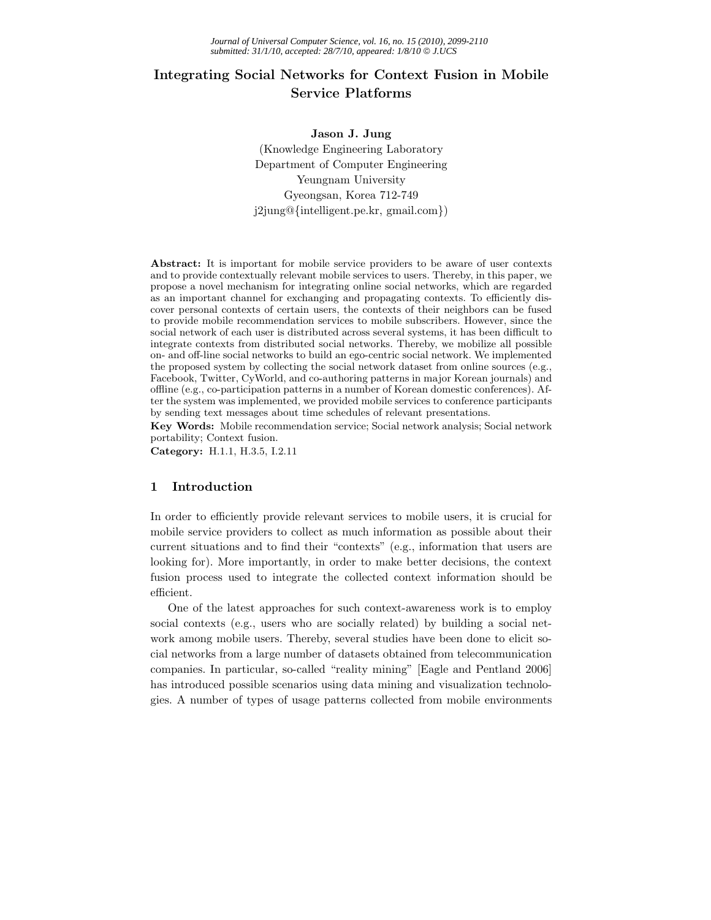# **Integrating Social Networks for Context Fusion in Mobile**

**Jason J. Jung** (Knowledge Engineering Laboratory Department of Computer Engineering Yeungnam University Gyeongsan, Korea 712-749 j2jung@{intelligent.pe.kr, gmail.com})

**Abstract:** It is important for mobile service providers to be aware of user contexts and to provide contextually relevant mobile services to users. Thereby, in this paper, we propose a novel mechanism for integrating online social networks, which are regarded as an important channel for exchanging and propagating contexts. To efficiently discover personal contexts of certain users, the contexts of their neighbors can be fused to provide mobile recommendation services to mobile subscribers. However, since the social network of each user is distributed across several systems, it has been difficult to integrate contexts from distributed social networks. Thereby, we mobilize all possible on- and off-line social networks to build an ego-centric social network. We implemented the proposed system by collecting the social network dataset from online sources (e.g., Facebook, Twitter, CyWorld, and co-authoring patterns in major Korean journals) and offline (e.g., co-participation patterns in a number of Korean domestic conferences). After the system was implemented, we provided mobile services to conference participants by sending text messages about time schedules of relevant presentations.

**Key Words:** Mobile recommendation service; Social network analysis; Social network portability; Context fusion.

**Category:** H.1.1, H.3.5, I.2.11

#### **1 Introduction**

In order to efficiently provide relevant services to mobile users, it is crucial for mobile service providers to collect as much information as possible about their current situations and to find their "contexts" (e.g., information that users are looking for). More importantly, in order to make better decisions, the context fusion process used to integrate the collected context information should be efficient.

One of the latest approaches for such context-awareness work is to employ social contexts (e.g., users who are socially related) by building a social network among mobile users. Thereby, several studies have been done to elicit social networks from a large number of datasets obtained from telecommunication companies. In particular, so-called "reality mining" [Eagle and Pentland 2006] has introduced possible scenarios using data mining and visualization technologies. A number of types of usage patterns collected from mobile environments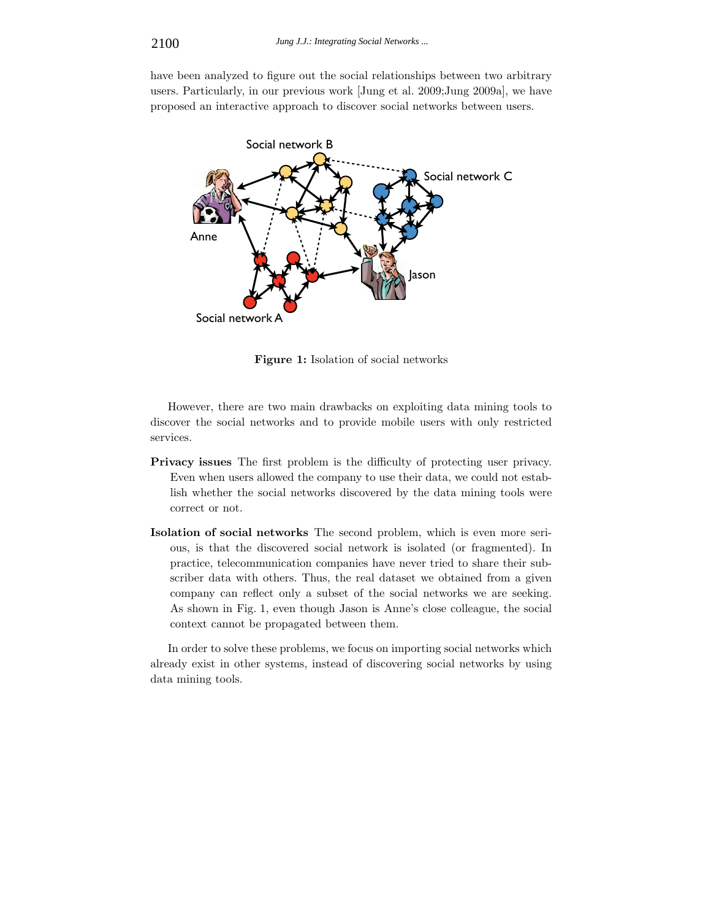have been analyzed to figure out the social relationships between two arbitrary users. Particularly, in our previous work [Jung et al. 2009;Jung 2009a], we have proposed an interactive approach to discover social networks between users.



**Figure 1:** Isolation of social networks

However, there are two main drawbacks on exploiting data mining tools to discover the social networks and to provide mobile users with only restricted services.

- **Privacy issues** The first problem is the difficulty of protecting user privacy. Even when users allowed the company to use their data, we could not establish whether the social networks discovered by the data mining tools were correct or not.
- **Isolation of social networks** The second problem, which is even more serious, is that the discovered social network is isolated (or fragmented). In practice, telecommunication companies have never tried to share their subscriber data with others. Thus, the real dataset we obtained from a given company can reflect only a subset of the social networks we are seeking. As shown in Fig. 1, even though Jason is Anne's close colleague, the social context cannot be propagated between them.

In order to solve these problems, we focus on importing social networks which already exist in other systems, instead of discovering social networks by using data mining tools.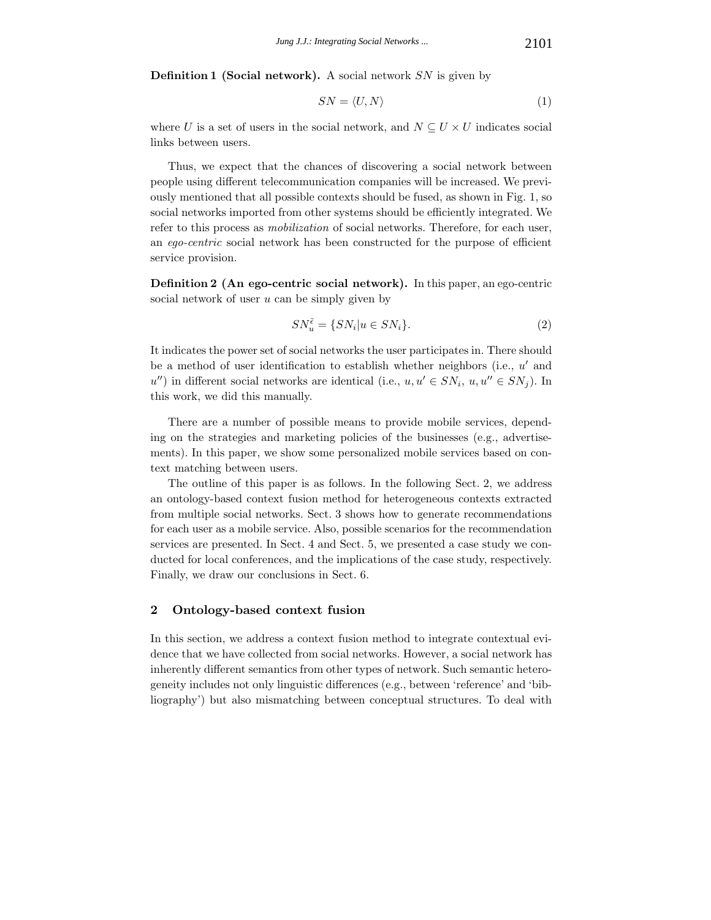**Definition 1 (Social network).** A social network *SN* is given by

$$
SN = \langle U, N \rangle \tag{1}
$$

where *U* is a set of users in the social network, and  $N \subseteq U \times U$  indicates social links between users.

Thus, we expect that the chances of discovering a social network between people using different telecommunication companies will be increased. We previously mentioned that all possible contexts should be fused, as shown in Fig. 1, so social networks imported from other systems should be efficiently integrated. We refer to this process as *mobilization* of social networks. Therefore, for each user, an *ego-centric* social network has been constructed for the purpose of efficient service provision.

**Definition 2 (An ego-centric social network).** In this paper, an ego-centric social network of user *u* can be simply given by

$$
SN_{u}^{\tilde{\epsilon}} = \{SN_{i}|u \in SN_{i}\}.
$$
 (2)

It indicates the power set of social networks the user participates in. There should be a method of user identification to establish whether neighbors (i.e., *u'* and  $u''$ ) in different social networks are identical (i.e.,  $u, u' \in SN_i$ ,  $u, u'' \in SN_j$ ). In this work, we did this manually.

There are a number of possible means to provide mobile services, depending on the strategies and marketing policies of the businesses (e.g., advertisements). In this paper, we show some personalized mobile services based on context matching between users.

The outline of this paper is as follows. In the following Sect. 2, we address an ontology-based context fusion method for heterogeneous contexts extracted from multiple social networks. Sect. 3 shows how to generate recommendations for each user as a mobile service. Also, possible scenarios for the recommendation services are presented. In Sect. 4 and Sect. 5, we presented a case study we conducted for local conferences, and the implications of the case study, respectively. Finally, we draw our conclusions in Sect. 6.

# **2 Ontology-based context fusion**

In this section, we address a context fusion method to integrate contextual evidence that we have collected from social networks. However, a social network has inherently different semantics from other types of network. Such semantic heterogeneity includes not only linguistic differences (e.g., between 'reference' and 'bibliography') but also mismatching between conceptual structures. To deal with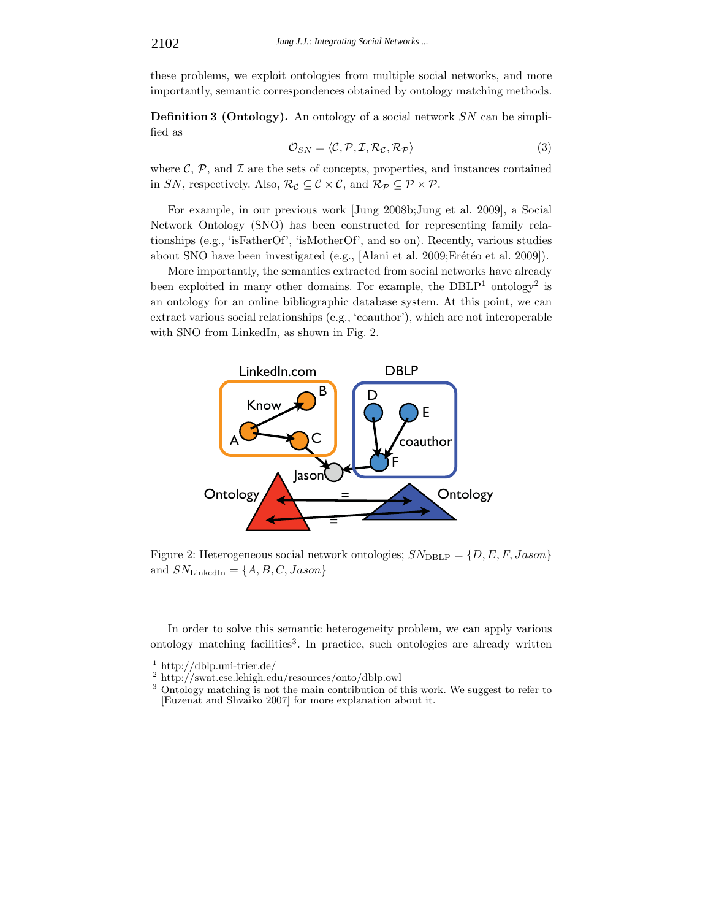these problems, we exploit ontologies from multiple social networks, and more importantly, semantic correspondences obtained by ontology matching methods.

**Definition 3 (Ontology).** An ontology of a social network *SN* can be simplified as

$$
\mathcal{O}_{SN} = \langle \mathcal{C}, \mathcal{P}, \mathcal{I}, \mathcal{R}_{\mathcal{C}}, \mathcal{R}_{\mathcal{P}} \rangle \tag{3}
$$

where  $\mathcal{C}, \mathcal{P},$  and  $\mathcal{I}$  are the sets of concepts, properties, and instances contained in *SN*, respectively. Also,  $\mathcal{R}_{\mathcal{C}} \subseteq \mathcal{C} \times \mathcal{C}$ , and  $\mathcal{R}_{\mathcal{P}} \subseteq \mathcal{P} \times \mathcal{P}$ .

For example, in our previous work [Jung 2008b;Jung et al. 2009], a Social Network Ontology (SNO) has been constructed for representing family relationships (e.g., 'isFatherOf', 'isMotherOf', and so on). Recently, various studies about SNO have been investigated (e.g., [Alani et al. 2009;Erétéo et al. 2009]).

More importantly, the semantics extracted from social networks have already been exploited in many other domains. For example, the  $DBLP<sup>1</sup>$  ontology<sup>2</sup> is an ontology for an online bibliographic database system. At this point, we can extract various social relationships (e.g., 'coauthor'), which are not interoperable with SNO from LinkedIn, as shown in Fig. 2.



Figure 2: Heterogeneous social network ontologies;  $SN_{\text{DBLP}} = \{D, E, F, Jason\}$ and  $SN_{\text{LinkedIn}} = \{A, B, C, Jason\}$ 

In order to solve this semantic heterogeneity problem, we can apply various ontology matching facilities<sup>3</sup>. In practice, such ontologies are already written

 $\frac{1}{2}$  http://dblp.uni-trier.de/<br> $\frac{2}{3}$  http://swat.cse.lehigh.edu/resources/onto/dblp.owl<br> $\frac{3}{3}$  Ontology matching is not the main contribution of this work. We suggest to refer to [Euzenat and Shvaiko 2007] for more explanation about it.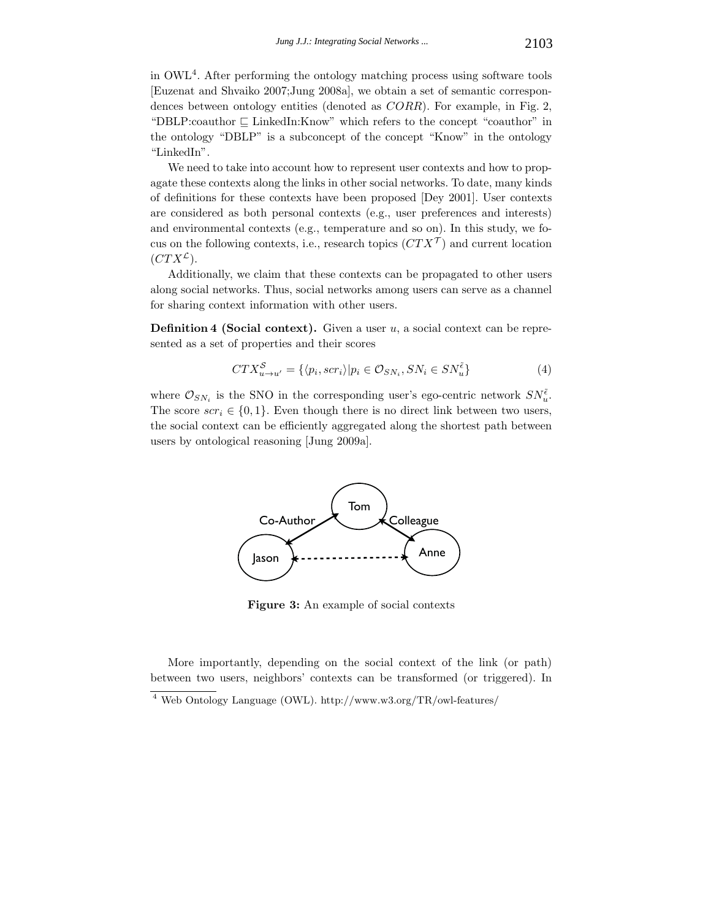in OWL4. After performing the ontology matching process using software tools [Euzenat and Shvaiko 2007;Jung 2008a], we obtain a set of semantic correspondences between ontology entities (denoted as *CORR*). For example, in Fig. 2, "DBLP:coauthor  $\sqsubseteq$  LinkedIn:Know" which refers to the concept "coauthor" in the ontology "DBLP" is a subconcept of the concept "Know" in the ontology "LinkedIn".

We need to take into account how to represent user contexts and how to propagate these contexts along the links in other social networks. To date, many kinds of definitions for these contexts have been proposed [Dey 2001]. User contexts are considered as both personal contexts (e.g., user preferences and interests) and environmental contexts (e.g., temperature and so on). In this study, we focus on the following contexts, i.e., research topics  $(CTX^{\mathcal{T}})$  and current location  $(CTX^{\mathcal{L}}).$ 

Additionally, we claim that these contexts can be propagated to other users along social networks. Thus, social networks among users can serve as a channel for sharing context information with other users.

**Definition 4 (Social context).** Given a user *u*, a social context can be represented as a set of properties and their scores

$$
CTX_{u\to u'}^S = \{ \langle p_i, scr_i \rangle | p_i \in \mathcal{O}_{SN_i}, SN_i \in SN_u^{\tilde{\epsilon}} \}
$$
(4)

where  $\mathcal{O}_{SN_i}$  is the SNO in the corresponding user's ego-centric network  $SN_{\tilde{u}}^{\tilde{\epsilon}}$ . The score  $scr_i \in \{0,1\}$ . Even though there is no direct link between two users, the social context can be efficiently aggregated along the shortest path between users by ontological reasoning [Jung 2009a].



**Figure 3:** An example of social contexts

More importantly, depending on the social context of the link (or path) between two users, neighbors' contexts can be transformed (or triggered). In

 $^4$  Web Ontology Language (OWL). http://www.w3.org/TR/owl-features/  $\,$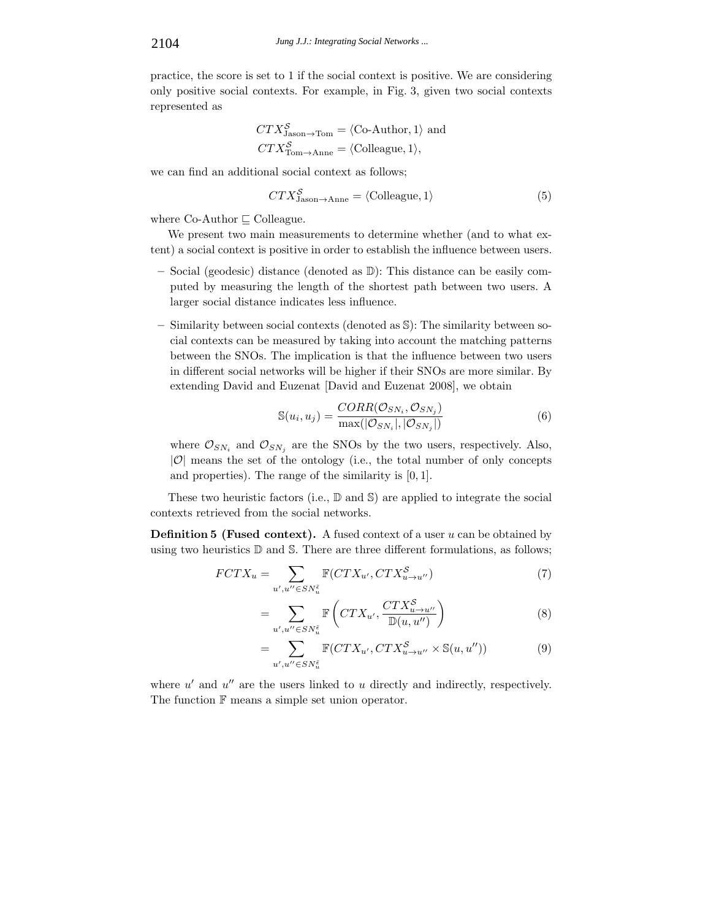practice, the score is set to 1 if the social context is positive. We are considering only positive social contexts. For example, in Fig. 3, given two social contexts represented as

$$
CTX_{\text{Jason}\to\text{Tom}}^{\mathcal{S}} = \langle \text{Co-Author}, 1 \rangle \text{ and}
$$
  

$$
CTX_{\text{Tom}\to\text{Anne}}^{\mathcal{S}} = \langle \text{Colleague}, 1 \rangle,
$$

we can find an additional social context as follows;

$$
CTX_{\text{Jason}\to\text{Anne}}^{\mathcal{S}} = \langle \text{Colleague}, 1 \rangle \tag{5}
$$

where  $Co-Author \sqsubset Colleague.$ 

We present two main measurements to determine whether (and to what extent) a social context is positive in order to establish the influence between users.

- **–** Social (geodesic) distance (denoted as D): This distance can be easily computed by measuring the length of the shortest path between two users. A larger social distance indicates less influence.
- **–** Similarity between social contexts (denoted as S): The similarity between social contexts can be measured by taking into account the matching patterns between the SNOs. The implication is that the influence between two users in different social networks will be higher if their SNOs are more similar. By extending David and Euzenat [David and Euzenat 2008], we obtain

$$
\mathbb{S}(u_i, u_j) = \frac{CORR(\mathcal{O}_{SN_i}, \mathcal{O}_{SN_j})}{\max(|\mathcal{O}_{SN_i}|, |\mathcal{O}_{SN_j}|)}
$$
(6)

where  $\mathcal{O}_{SN_i}$  and  $\mathcal{O}_{SN_j}$  are the SNOs by the two users, respectively. Also,  $|\mathcal{O}|$  means the set of the ontology (i.e., the total number of only concepts and properties). The range of the similarity is [0*,* 1].

These two heuristic factors (i.e.,  $\mathbb{D}$  and  $\mathbb{S}$ ) are applied to integrate the social contexts retrieved from the social networks.

**Definition 5 (Fused context).** A fused context of a user *u* can be obtained by using two heuristics D and S. There are three different formulations, as follows;

$$
FCTX_u = \sum_{u',u'' \in SN_u^{\tilde{c}}} \mathbb{F}(CTX_{u'}, CTX_{u \to u''}^{\mathcal{S}})
$$
(7)

$$
= \sum_{u',u'' \in SN_u^{\tilde{\epsilon}}} \mathbb{F}\left( CTX_{u'}, \frac{CTX_{u \to u''}^{\mathcal{S}}}{\mathbb{D}(u, u'')}\right) \tag{8}
$$

$$
= \sum_{u',u'' \in SN_u^{\tilde{c}}} \mathbb{F}(CTX_{u'}, CTX_{u \to u''}^{\mathcal{S}} \times \mathbb{S}(u, u'')) \tag{9}
$$

where  $u'$  and  $u''$  are the users linked to  $u$  directly and indirectly, respectively. The function  $F$  means a simple set union operator.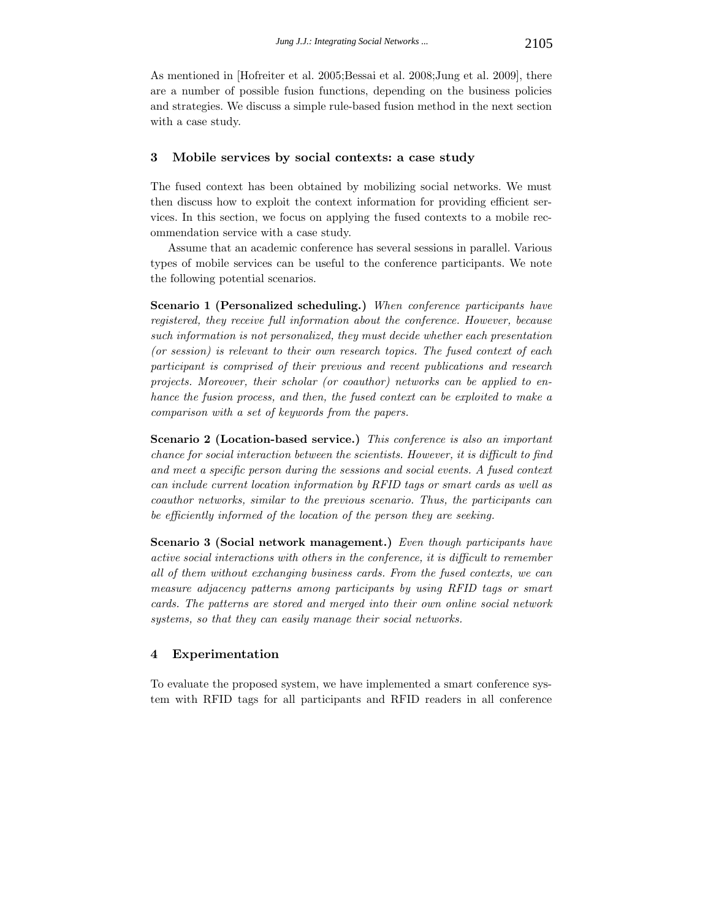As mentioned in [Hofreiter et al. 2005;Bessai et al. 2008;Jung et al. 2009], there are a number of possible fusion functions, depending on the business policies and strategies. We discuss a simple rule-based fusion method in the next section with a case study.

### **3 Mobile services by social contexts: a case study**

The fused context has been obtained by mobilizing social networks. We must then discuss how to exploit the context information for providing efficient services. In this section, we focus on applying the fused contexts to a mobile recommendation service with a case study.

Assume that an academic conference has several sessions in parallel. Various types of mobile services can be useful to the conference participants. We note the following potential scenarios.

**Scenario 1 (Personalized scheduling.)** *When conference participants have registered, they receive full information about the conference. However, because such information is not personalized, they must decide whether each presentation (or session) is relevant to their own research topics. The fused context of each participant is comprised of their previous and recent publications and research projects. Moreover, their scholar (or coauthor) networks can be applied to enhance the fusion process, and then, the fused context can be exploited to make a comparison with a set of keywords from the papers.*

**Scenario 2 (Location-based service.)** *This conference is also an important chance for social interaction between the scientists. However, it is difficult to find and meet a specific person during the sessions and social events. A fused context can include current location information by RFID tags or smart cards as well as coauthor networks, similar to the previous scenario. Thus, the participants can be efficiently informed of the location of the person they are seeking.*

**Scenario 3 (Social network management.)** *Even though participants have active social interactions with others in the conference, it is difficult to remember all of them without exchanging business cards. From the fused contexts, we can measure adjacency patterns among participants by using RFID tags or smart cards. The patterns are stored and merged into their own online social network systems, so that they can easily manage their social networks.*

## **4 Experimentation**

To evaluate the proposed system, we have implemented a smart conference system with RFID tags for all participants and RFID readers in all conference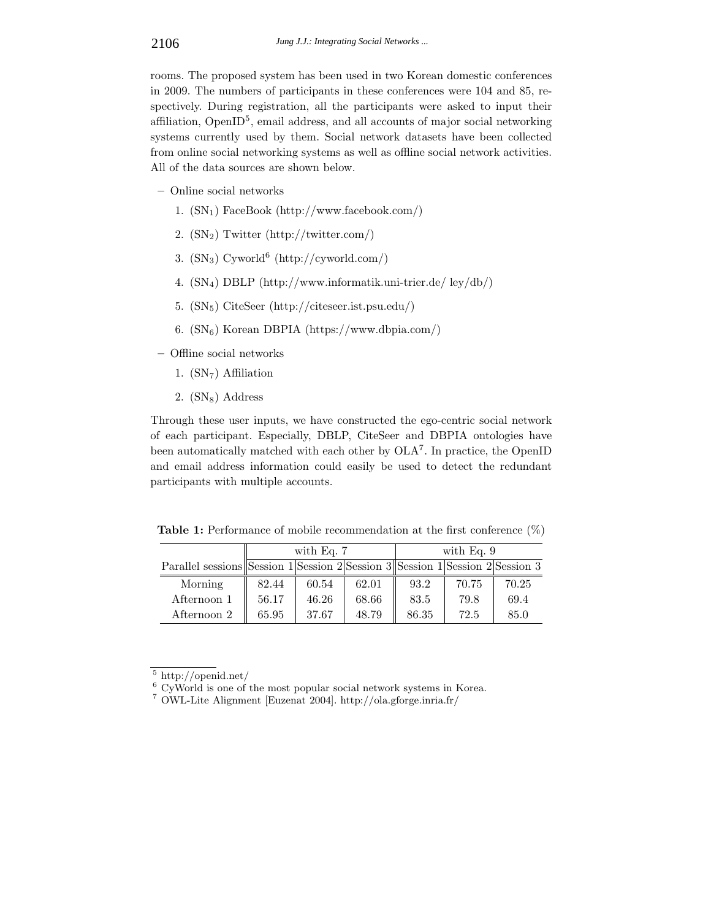rooms. The proposed system has been used in two Korean domestic conferences in 2009. The numbers of participants in these conferences were 104 and 85, respectively. During registration, all the participants were asked to input their affiliation, OpenI $D^5$ , email address, and all accounts of major social networking systems currently used by them. Social network datasets have been collected from online social networking systems as well as offline social network activities. All of the data sources are shown below.

- **–** Online social networks
	- 1. (SN1) FaceBook (http://www.facebook.com/)
	- 2.  $(N_2)$  Twitter (http://twitter.com/)
	- 3.  $(SN_3)$  Cyworld<sup>6</sup> (http://cyworld.com/)
	- 4. (SN4) DBLP (http://www.informatik.uni-trier.de/ ley/db/)
	- 5. (SN5) CiteSeer (http://citeseer.ist.psu.edu/)
	- 6.  $(N_6)$  Korean DBPIA (https://www.dbpia.com/)
- **–** Offline social networks
	- 1.  $(SN<sub>7</sub>)$  Affiliation
	- 2.  $(SN_8)$  Address

Through these user inputs, we have constructed the ego-centric social network of each participant. Especially, DBLP, CiteSeer and DBPIA ontologies have been automatically matched with each other by OLA<sup>7</sup>. In practice, the OpenID and email address information could easily be used to detect the redundant participants with multiple accounts.

**Table 1:** Performance of mobile recommendation at the first conference  $(\%)$ 

|                                                                               | with Eq. $7$ |       |       | with Eq. $9$ |       |       |
|-------------------------------------------------------------------------------|--------------|-------|-------|--------------|-------|-------|
| Parallel sessions Session 1 Session 2 Session 3 Session 1 Session 2 Session 3 |              |       |       |              |       |       |
| Morning                                                                       | 82.44        | 60.54 | 62.01 | 93.2         | 70.75 | 70.25 |
| Afternoon 1                                                                   | 56.17        | 46.26 | 68.66 | 83.5         | 79.8  | 69.4  |
| Afternoon 2                                                                   | 65.95        | 37.67 | 48.79 | 86.35        | 72.5  | 85.0  |

 $^5$ http://openid.net/  $^6$  CyWorld is one of the most popular social network systems in Korea.  $^7$ OWL-Lite Alignment [Euzenat 2004]. http://ola.gforge.inria.fr/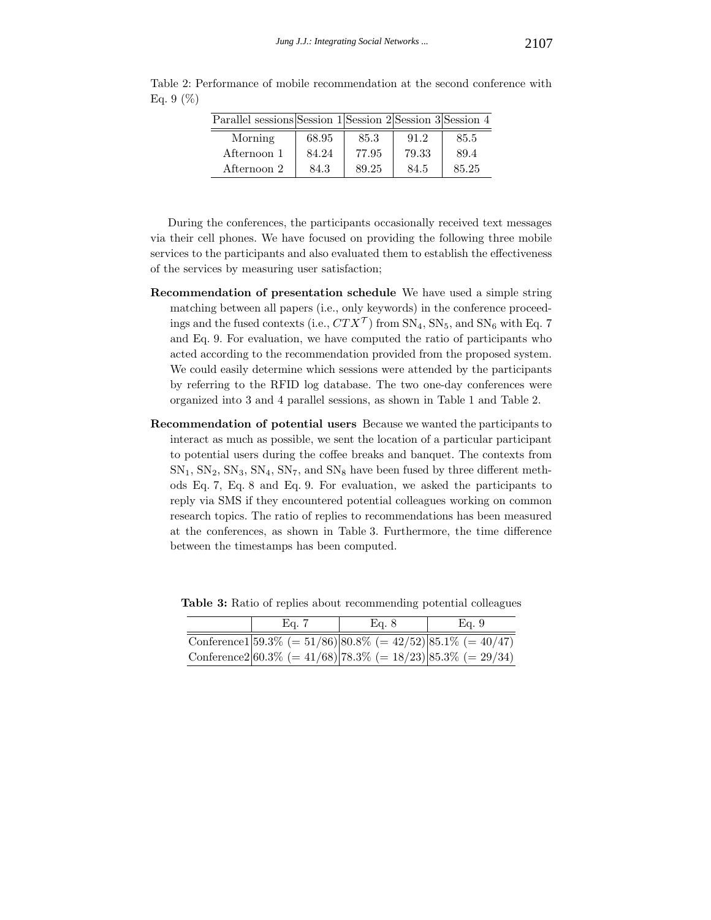| Parallel sessions Session 1 Session 2 Session 3 Session 4 |       |       |       |       |
|-----------------------------------------------------------|-------|-------|-------|-------|
| Morning                                                   | 68.95 | 85.3  | 91.2  | 85.5  |
| Afternoon 1                                               | 84.24 | 77.95 | 79.33 | 89.4  |
| Afternoon 2                                               | 84.3  | 89.25 | 84.5  | 85.25 |

Table 2: Performance of mobile recommendation at the second conference with Eq. 9  $(\%)$ 

During the conferences, the participants occasionally received text messages via their cell phones. We have focused on providing the following three mobile services to the participants and also evaluated them to establish the effectiveness of the services by measuring user satisfaction;

- **Recommendation of presentation schedule** We have used a simple string matching between all papers (i.e., only keywords) in the conference proceedings and the fused contexts (i.e.,  $CTX^{\mathcal{T}}$ ) from  $SN_4$ ,  $SN_5$ , and  $SN_6$  with Eq. 7 and Eq. 9. For evaluation, we have computed the ratio of participants who acted according to the recommendation provided from the proposed system. We could easily determine which sessions were attended by the participants by referring to the RFID log database. The two one-day conferences were organized into 3 and 4 parallel sessions, as shown in Table 1 and Table 2.
- **Recommendation of potential users** Because we wanted the participants to interact as much as possible, we sent the location of a particular participant to potential users during the coffee breaks and banquet. The contexts from  $SN_1$ ,  $SN_2$ ,  $SN_3$ ,  $SN_4$ ,  $SN_7$ , and  $SN_8$  have been fused by three different methods Eq. 7, Eq. 8 and Eq. 9. For evaluation, we asked the participants to reply via SMS if they encountered potential colleagues working on common research topics. The ratio of replies to recommendations has been measured at the conferences, as shown in Table 3. Furthermore, the time difference between the timestamps has been computed.

| Ea. 7                                                                | Eq. 8 | Eg. 9 |  |
|----------------------------------------------------------------------|-------|-------|--|
| Conference1 $ 59.3\%  = 51/86$ $ 80.8\%  = 42/52$ $ 85.1\%  = 40/47$ |       |       |  |
| Conference $2 60.3\%  = 41/68$   78.3\% (= 18/23)   85.3\% (= 29/34) |       |       |  |

**Table 3:** Ratio of replies about recommending potential colleagues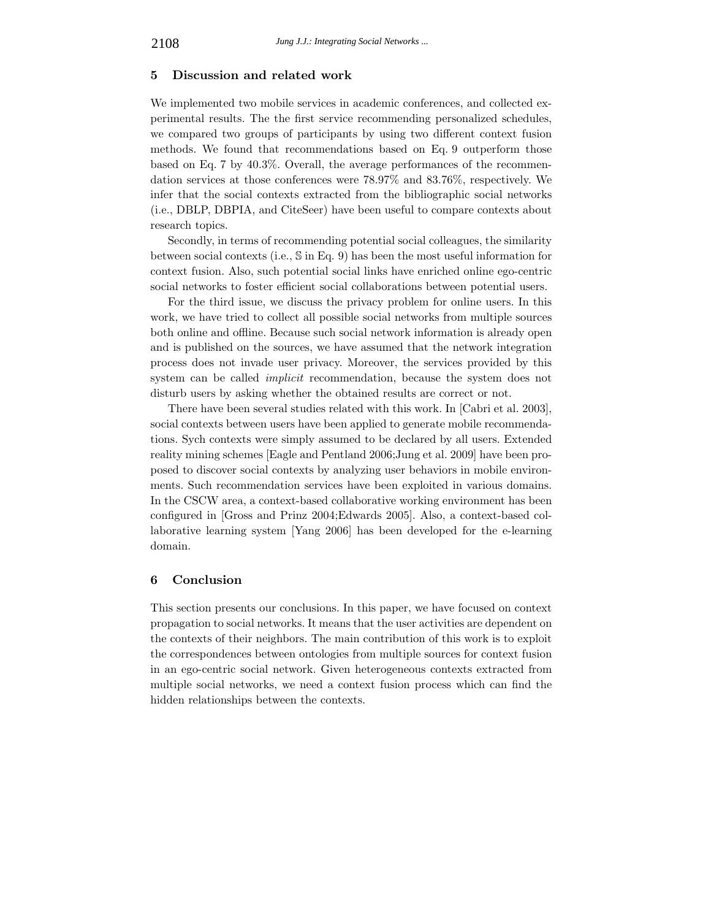#### **5 Discussion and related work**

We implemented two mobile services in academic conferences, and collected experimental results. The the first service recommending personalized schedules, we compared two groups of participants by using two different context fusion methods. We found that recommendations based on Eq. 9 outperform those based on Eq. 7 by 40.3%. Overall, the average performances of the recommendation services at those conferences were 78.97% and 83.76%, respectively. We infer that the social contexts extracted from the bibliographic social networks (i.e., DBLP, DBPIA, and CiteSeer) have been useful to compare contexts about research topics.

Secondly, in terms of recommending potential social colleagues, the similarity between social contexts (i.e., S in Eq. 9) has been the most useful information for context fusion. Also, such potential social links have enriched online ego-centric social networks to foster efficient social collaborations between potential users.

For the third issue, we discuss the privacy problem for online users. In this work, we have tried to collect all possible social networks from multiple sources both online and offline. Because such social network information is already open and is published on the sources, we have assumed that the network integration process does not invade user privacy. Moreover, the services provided by this system can be called *implicit* recommendation, because the system does not disturb users by asking whether the obtained results are correct or not.

There have been several studies related with this work. In [Cabri et al. 2003], social contexts between users have been applied to generate mobile recommendations. Sych contexts were simply assumed to be declared by all users. Extended reality mining schemes [Eagle and Pentland 2006;Jung et al. 2009] have been proposed to discover social contexts by analyzing user behaviors in mobile environments. Such recommendation services have been exploited in various domains. In the CSCW area, a context-based collaborative working environment has been configured in [Gross and Prinz 2004;Edwards 2005]. Also, a context-based collaborative learning system [Yang 2006] has been developed for the e-learning domain.

# **6 Conclusion**

This section presents our conclusions. In this paper, we have focused on context propagation to social networks. It means that the user activities are dependent on the contexts of their neighbors. The main contribution of this work is to exploit the correspondences between ontologies from multiple sources for context fusion in an ego-centric social network. Given heterogeneous contexts extracted from multiple social networks, we need a context fusion process which can find the hidden relationships between the contexts.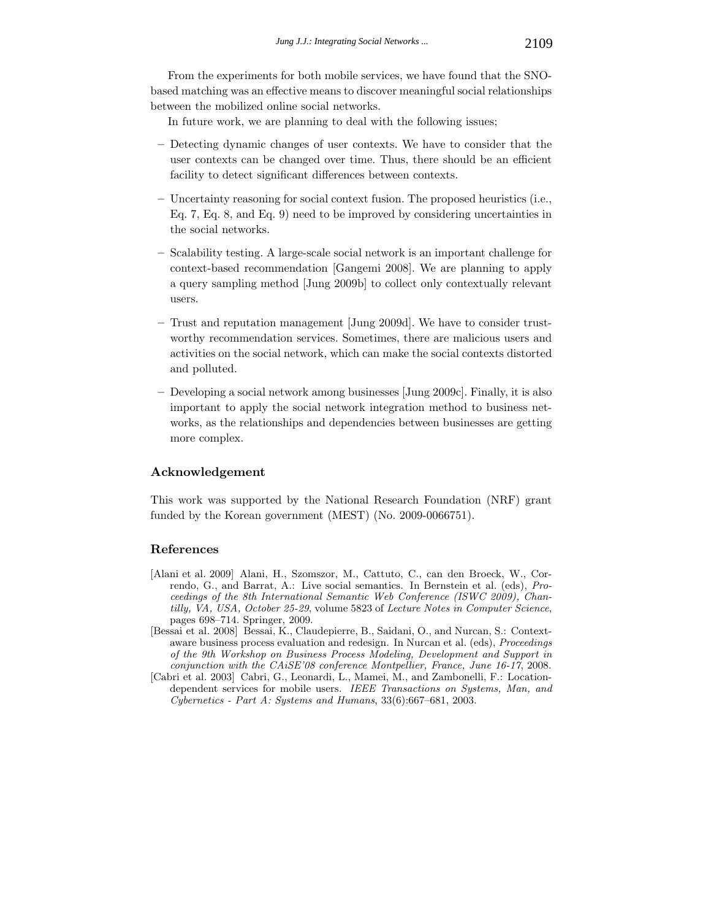From the experiments for both mobile services, we have found that the SNObased matching was an effective means to discover meaningful social relationships between the mobilized online social networks.

In future work, we are planning to deal with the following issues;

- **–** Detecting dynamic changes of user contexts. We have to consider that the user contexts can be changed over time. Thus, there should be an efficient facility to detect significant differences between contexts.
- **–** Uncertainty reasoning for social context fusion. The proposed heuristics (i.e., Eq. 7, Eq. 8, and Eq. 9) need to be improved by considering uncertainties in the social networks.
- **–** Scalability testing. A large-scale social network is an important challenge for context-based recommendation [Gangemi 2008]. We are planning to apply a query sampling method [Jung 2009b] to collect only contextually relevant users.
- **–** Trust and reputation management [Jung 2009d]. We have to consider trustworthy recommendation services. Sometimes, there are malicious users and activities on the social network, which can make the social contexts distorted and polluted.
- **–** Developing a social network among businesses [Jung 2009c]. Finally, it is also important to apply the social network integration method to business networks, as the relationships and dependencies between businesses are getting more complex.

# **Acknowledgement**

This work was supported by the National Research Foundation (NRF) grant funded by the Korean government (MEST) (No. 2009-0066751).

## **References**

- [Alani et al. 2009] Alani, H., Szomszor, M., Cattuto, C., can den Broeck, W., Correndo, G., and Barrat, A.: Live social semantics. In Bernstein et al. (eds), *Proceedings of the 8th International Semantic Web Conference (ISWC 2009), Chantilly, VA, USA, October 25-29*, volume 5823 of *Lecture Notes in Computer Science*, pages 698–714. Springer, 2009.
- [Bessai et al. 2008] Bessai, K., Claudepierre, B., Saidani, O., and Nurcan, S.: Contextaware business process evaluation and redesign. In Nurcan et al. (eds), *Proceedings of the 9th Workshop on Business Process Modeling, Development and Support in conjunction with the CAiSE'08 conference Montpellier, France, June 16-17*, 2008.
- [Cabri et al. 2003] Cabri, G., Leonardi, L., Mamei, M., and Zambonelli, F.: Locationdependent services for mobile users. *IEEE Transactions on Systems, Man, and Cybernetics - Part A: Systems and Humans*, 33(6):667–681, 2003.